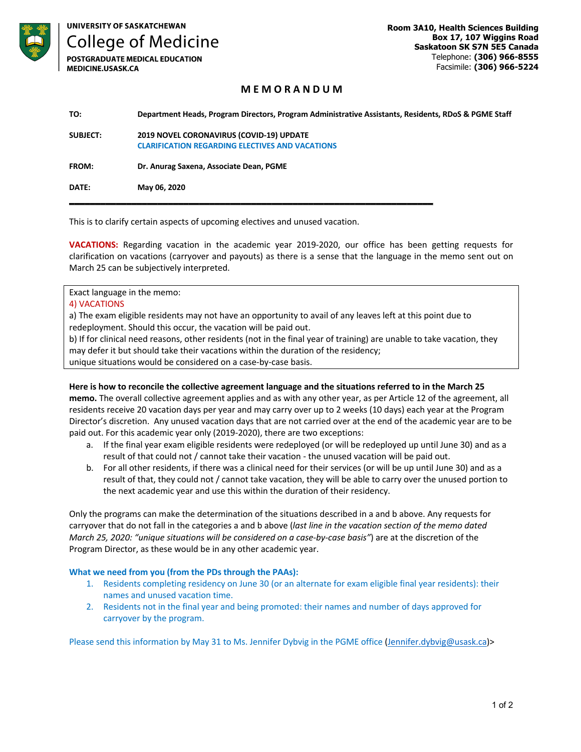

**UNIVERSITY OF SASKATCHEWAN** 

**College of Medicine POSTGRADUATE MEDICAL EDUCATION MEDICINE.USASK.CA** 

# **M E M O R A N D U M**

| TO:             | Department Heads, Program Directors, Program Administrative Assistants, Residents, RDoS & PGME Staff |
|-----------------|------------------------------------------------------------------------------------------------------|
| <b>SUBJECT:</b> | 2019 NOVEL CORONAVIRUS (COVID-19) UPDATE<br><b>CLARIFICATION REGARDING ELECTIVES AND VACATIONS</b>   |
| <b>FROM:</b>    | Dr. Anurag Saxena, Associate Dean, PGME                                                              |
| DATE:           | May 06, 2020                                                                                         |

This is to clarify certain aspects of upcoming electives and unused vacation.

**VACATIONS:** Regarding vacation in the academic year 2019-2020, our office has been getting requests for clarification on vacations (carryover and payouts) as there is a sense that the language in the memo sent out on March 25 can be subjectively interpreted.

Exact language in the memo:

#### 4) VACATIONS

a) The exam eligible residents may not have an opportunity to avail of any leaves left at this point due to redeployment. Should this occur, the vacation will be paid out.

b) If for clinical need reasons, other residents (not in the final year of training) are unable to take vacation, they may defer it but should take their vacations within the duration of the residency;

unique situations would be considered on a case-by-case basis.

### **Here is how to reconcile the collective agreement language and the situations referred to in the March 25**

**memo.** The overall collective agreement applies and as with any other year, as per Article 12 of the agreement, all residents receive 20 vacation days per year and may carry over up to 2 weeks (10 days) each year at the Program Director's discretion. Any unused vacation days that are not carried over at the end of the academic year are to be paid out. For this academic year only (2019-2020), there are two exceptions:

- a. If the final year exam eligible residents were redeployed (or will be redeployed up until June 30) and as a result of that could not / cannot take their vacation - the unused vacation will be paid out.
- b. For all other residents, if there was a clinical need for their services (or will be up until June 30) and as a result of that, they could not / cannot take vacation, they will be able to carry over the unused portion to the next academic year and use this within the duration of their residency.

Only the programs can make the determination of the situations described in a and b above. Any requests for carryover that do not fall in the categories a and b above (*last line in the vacation section of the memo dated March 25, 2020: "unique situations will be considered on a case-by-case basis"*) are at the discretion of the Program Director, as these would be in any other academic year.

### **What we need from you (from the PDs through the PAAs):**

- 1. Residents completing residency on June 30 (or an alternate for exam eligible final year residents): their names and unused vacation time.
- 2. Residents not in the final year and being promoted: their names and number of days approved for carryover by the program.

Please send this information by May 31 to Ms. Jennifer Dybvig in the PGME office (Jennifer.dybvig@usask.ca)>